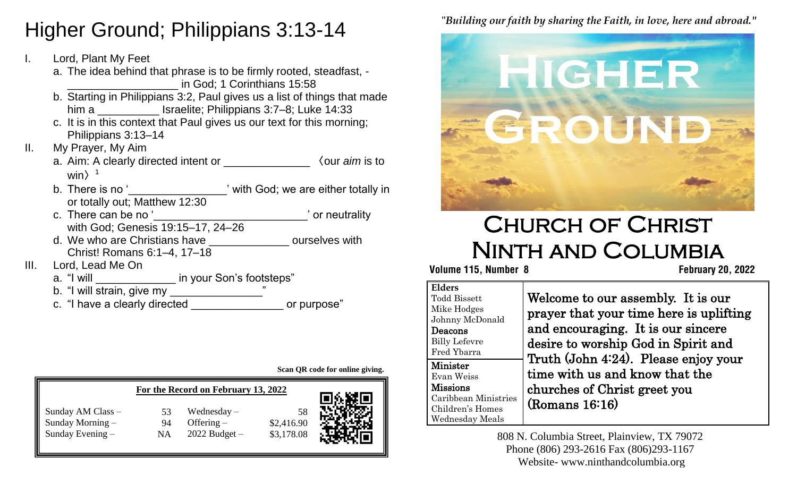# **Higher Ground; Philippians 3:13-14**

- I. Lord, Plant My Feet
- a. The idea behind that phrase is to be firmly rooted, steadfast, -**E. A. He knows our in God; 1 Corinthians 15:58**
- b. Starting in Philippians 3:2, Paul gives us a list of things that made him a \_\_\_\_\_\_\_\_\_\_\_\_\_ Israelite; Philippians 3:7–8; Luke 14:33
	- c. It is in this context that Paul gives us our text for this morning; Philippians 3:13–14
- II. My Prayer, My Aim
	- a. Aim: A clearly directed intent or \_\_\_\_\_\_\_\_\_\_\_\_\_\_ 〈our *aim* is to win $>1$
	- b. There is no '<br>  $\ddot{\hspace{1cm}}$  'with God; we are either totally in or totally out; Matthew 12:30
	- c. There can be no ' with God; Genesis 19:15–17, 24–26
	- d. We who are Christians have **Example 20** ourselves with Christ! Romans 6:1–4, 17–18
- III. Lord, Lead Me On
	- a. "I will \_\_\_\_\_\_\_\_\_\_\_\_\_\_\_\_ in your Son's footsteps"
	- b. "I will strain, give my \_\_\_\_\_\_\_\_\_\_\_\_\_\_\_\_\_\_"
	- c. "I have a clearly directed \_\_\_\_\_\_\_\_\_\_\_\_\_\_\_\_\_\_\_ or purpose"

**Scan QR code for online giving.**

|                    |    | For the Record on February 13, 2022 |            | ok Sto |
|--------------------|----|-------------------------------------|------------|--------|
| Sunday AM Class -  | 53 | Wednesday $-$                       | 58         |        |
| Sunday Morning $-$ | 94 | Offering $-$                        | \$2,416.90 |        |
| Sunday Evening $-$ | ΝA | $2022$ Budget $-$                   | \$3,178.08 |        |

"*Building our faith by sharing the Faith, in love, here and abroad."*



# Church of Christ Ninth and Columbia

## **Volume 115, Number 8 February 20, 2022**

| Elders               |
|----------------------|
| <b>Todd Bissett</b>  |
| Mike Hodges          |
| Johnny McDonald      |
| Deacons              |
| <b>Billy Lefevre</b> |
| Fred Ybarra          |
| Minister             |
| Evan Weiss           |
|                      |
| Missions             |
| Caribbean Ministries |
| Children's Homes     |

Welcome to our assembly. It is our prayer that your time here is uplifting and encouraging. It is our sincere desire to worship God in Spirit and Truth (John 4:24). Please enjoy your time with us and know that the churches of Christ greet you (Romans 16:16)

808 N. Columbia Street, Plainview, TX 79072 Phone (806) 293-2616 Fax (806)293-1167 Website- www.ninthandcolumbia.org